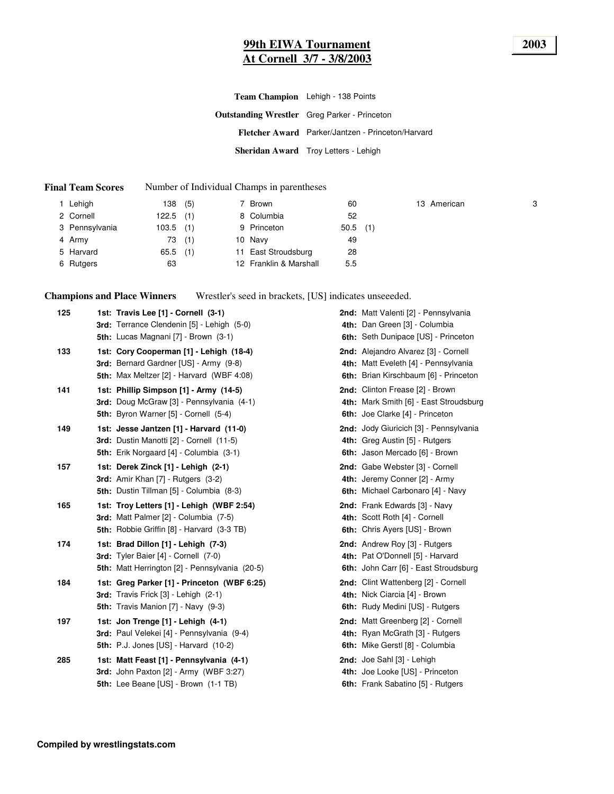## **99th EIWA Tournament 2003 At Cornell 3/7 - 3/8/2003**

| Team Champion Lehigh - 138 Points                   |
|-----------------------------------------------------|
| <b>Outstanding Wrestler</b> Greg Parker - Princeton |
| Fletcher Award Parker/Jantzen - Princeton/Harvard   |
| Sheridan Award Troy Letters - Lehigh                |

#### **Final Team Scores** Number of Individual Champs in parentheses

| Lehigh         | 138   | (5) | 7 Brown                | 60   |     | 13 American | 3 |
|----------------|-------|-----|------------------------|------|-----|-------------|---|
| 2 Cornell      | 122.5 | (1) | 8 Columbia             | 52   |     |             |   |
| 3 Pennsylvania | 103.5 | (1) | 9 Princeton            | 50.5 | (1) |             |   |
| 4 Army         | 73    | (1) | 10 Navy                | 49   |     |             |   |
| 5 Harvard      | 65.5  | (1) | 11 East Stroudsburg    | 28   |     |             |   |
| 6 Rutgers      | 63    |     | 12 Franklin & Marshall | 5.5  |     |             |   |

**Champions and Place Winners** Wrestler's seed in brackets, [US] indicates unseeeded.

| 125 | 1st: Travis Lee [1] - Cornell (3-1)<br>3rd: Terrance Clendenin [5] - Lehigh (5-0)<br>5th: Lucas Magnani [7] - Brown (3-1)                    | 2nd: Matt Valenti [2] - Pennsylvania<br>4th: Dan Green [3] - Columbia<br>6th: Seth Dunipace [US] - Princeton          |
|-----|----------------------------------------------------------------------------------------------------------------------------------------------|-----------------------------------------------------------------------------------------------------------------------|
| 133 | 1st: Cory Cooperman [1] - Lehigh (18-4)<br>3rd: Bernard Gardner [US] - Army (9-8)<br>5th: Max Meltzer [2] - Harvard (WBF 4:08)               | 2nd: Alejandro Alvarez [3] - Cornell<br>4th: Matt Eveleth [4] - Pennsylvania<br>6th: Brian Kirschbaum [6] - Princeton |
| 141 | 1st: Phillip Simpson [1] - Army (14-5)<br>3rd: Doug McGraw [3] - Pennsylvania (4-1)<br>5th: Byron Warner [5] - Cornell (5-4)                 | 2nd: Clinton Frease [2] - Brown<br>4th: Mark Smith [6] - East Stroudsburg<br>6th: Joe Clarke [4] - Princeton          |
| 149 | 1st: Jesse Jantzen [1] - Harvard (11-0)<br>3rd: Dustin Manotti [2] - Cornell (11-5)<br><b>5th:</b> Erik Norgaard [4] - Columbia (3-1)        | 2nd: Jody Giuricich [3] - Pennsylvania<br>4th: Greg Austin [5] - Rutgers<br>6th: Jason Mercado [6] - Brown            |
| 157 | 1st: Derek Zinck [1] - Lehigh (2-1)<br><b>3rd:</b> Amir Khan $[7]$ - Rutgers $(3-2)$<br>5th: Dustin Tillman [5] - Columbia (8-3)             | 2nd: Gabe Webster [3] - Cornell<br>4th: Jeremy Conner [2] - Army<br>6th: Michael Carbonaro [4] - Navy                 |
| 165 | 1st: Troy Letters [1] - Lehigh (WBF 2:54)<br>3rd: Matt Palmer [2] - Columbia (7-5)<br><b>5th:</b> Robbie Griffin [8] - Harvard (3-3 TB)      | 2nd: Frank Edwards [3] - Navy<br>4th: Scott Roth [4] - Cornell<br>6th: Chris Ayers [US] - Brown                       |
| 174 | 1st: Brad Dillon [1] - Lehigh (7-3)<br>3rd: Tyler Baier [4] - Cornell (7-0)<br>5th: Matt Herrington [2] - Pennsylvania (20-5)                | 2nd: Andrew Roy [3] - Rutgers<br>4th: Pat O'Donnell [5] - Harvard<br>6th: John Carr [6] - East Stroudsburg            |
| 184 | 1st: Greg Parker [1] - Princeton (WBF 6:25)<br><b>3rd:</b> Travis Frick $[3]$ - Lehigh $(2-1)$<br><b>5th:</b> Travis Manion [7] - Navy (9-3) | 2nd: Clint Wattenberg [2] - Cornell<br>4th: Nick Ciarcia [4] - Brown<br>6th: Rudy Medini [US] - Rutgers               |
| 197 | 1st: Jon Trenge [1] - Lehigh (4-1)<br>3rd: Paul Velekei [4] - Pennsylvania (9-4)<br>5th: P.J. Jones [US] - Harvard (10-2)                    | 2nd: Matt Greenberg [2] - Cornell<br>4th: Ryan McGrath [3] - Rutgers<br>6th: Mike Gerstl [8] - Columbia               |
| 285 | 1st: Matt Feast [1] - Pennsylvania (4-1)<br>3rd: John Paxton [2] - Army (WBF 3:27)<br>5th: Lee Beane [US] - Brown (1-1 TB)                   | 2nd: Joe Sahl [3] - Lehigh<br>4th: Joe Looke [US] - Princeton<br>6th: Frank Sabatino [5] - Rutgers                    |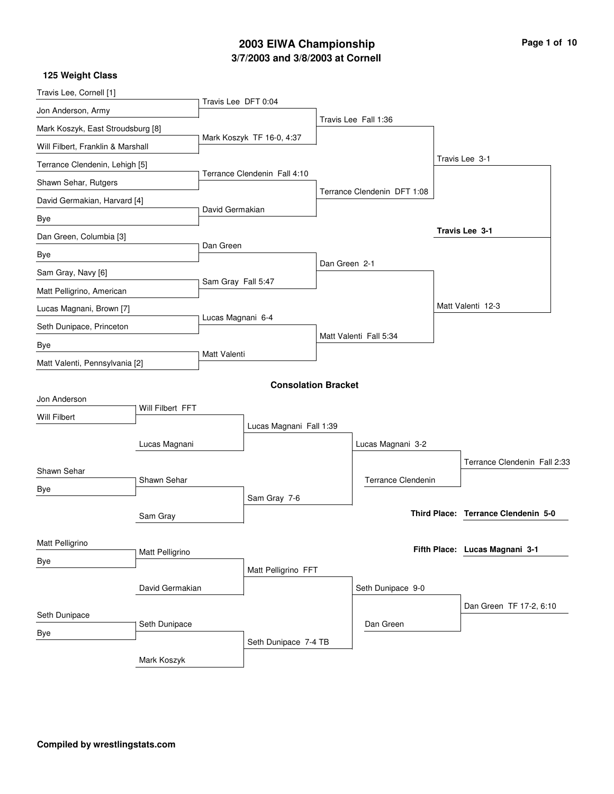# **3/7/2003 and 3/8/2003 at Cornell 2003 EIWA Championship Page 1 of 10**

| Travis Lee, Cornell [1]           |                  | Travis Lee DFT 0:04 |                              |               |                             |                                     |  |
|-----------------------------------|------------------|---------------------|------------------------------|---------------|-----------------------------|-------------------------------------|--|
| Jon Anderson, Army                |                  |                     |                              |               | Travis Lee Fall 1:36        |                                     |  |
| Mark Koszyk, East Stroudsburg [8] |                  |                     |                              |               |                             |                                     |  |
| Will Filbert, Franklin & Marshall |                  |                     | Mark Koszyk TF 16-0, 4:37    |               |                             |                                     |  |
| Terrance Clendenin, Lehigh [5]    |                  |                     |                              |               |                             | Travis Lee 3-1                      |  |
| Shawn Sehar, Rutgers              |                  |                     | Terrance Clendenin Fall 4:10 |               |                             |                                     |  |
| David Germakian, Harvard [4]      |                  |                     |                              |               | Terrance Clendenin DFT 1:08 |                                     |  |
| Bye                               |                  | David Germakian     |                              |               |                             |                                     |  |
| Dan Green, Columbia [3]           |                  |                     |                              |               |                             | Travis Lee 3-1                      |  |
| Bye                               |                  | Dan Green           |                              |               |                             |                                     |  |
| Sam Gray, Navy [6]                |                  |                     |                              | Dan Green 2-1 |                             |                                     |  |
| Matt Pelligrino, American         |                  | Sam Gray Fall 5:47  |                              |               |                             |                                     |  |
| Lucas Magnani, Brown [7]          |                  |                     |                              |               |                             | Matt Valenti 12-3                   |  |
| Seth Dunipace, Princeton          |                  | Lucas Magnani 6-4   |                              |               |                             |                                     |  |
| Bye                               |                  |                     |                              |               | Matt Valenti Fall 5:34      |                                     |  |
| Matt Valenti, Pennsylvania [2]    |                  | Matt Valenti        |                              |               |                             |                                     |  |
|                                   |                  |                     | <b>Consolation Bracket</b>   |               |                             |                                     |  |
| Jon Anderson                      |                  |                     |                              |               |                             |                                     |  |
| Will Filbert                      | Will Filbert FFT |                     |                              |               |                             |                                     |  |
|                                   |                  |                     | Lucas Magnani Fall 1:39      |               |                             |                                     |  |
|                                   | Lucas Magnani    |                     |                              |               | Lucas Magnani 3-2           |                                     |  |
| Shawn Sehar                       |                  |                     |                              |               |                             | Terrance Clendenin Fall 2:33        |  |
| Bye                               | Shawn Sehar      |                     |                              |               | <b>Terrance Clendenin</b>   |                                     |  |
|                                   |                  |                     | Sam Gray 7-6                 |               |                             |                                     |  |
|                                   | Sam Gray         |                     |                              |               |                             | Third Place: Terrance Clendenin 5-0 |  |
| Matt Pelligrino                   |                  |                     |                              |               |                             |                                     |  |
| <b>Bye</b>                        | Matt Pelligrino  |                     |                              |               |                             | Fifth Place: Lucas Magnani 3-1      |  |
|                                   |                  |                     | Matt Pelligrino FFT          |               |                             |                                     |  |
|                                   | David Germakian  |                     |                              |               | Seth Dunipace 9-0           |                                     |  |
| Seth Dunipace                     |                  |                     |                              |               |                             | Dan Green TF 17-2, 6:10             |  |
| <b>Bye</b>                        | Seth Dunipace    |                     |                              |               | Dan Green                   |                                     |  |
|                                   |                  |                     | Seth Dunipace 7-4 TB         |               |                             |                                     |  |
|                                   | Mark Koszyk      |                     |                              |               |                             |                                     |  |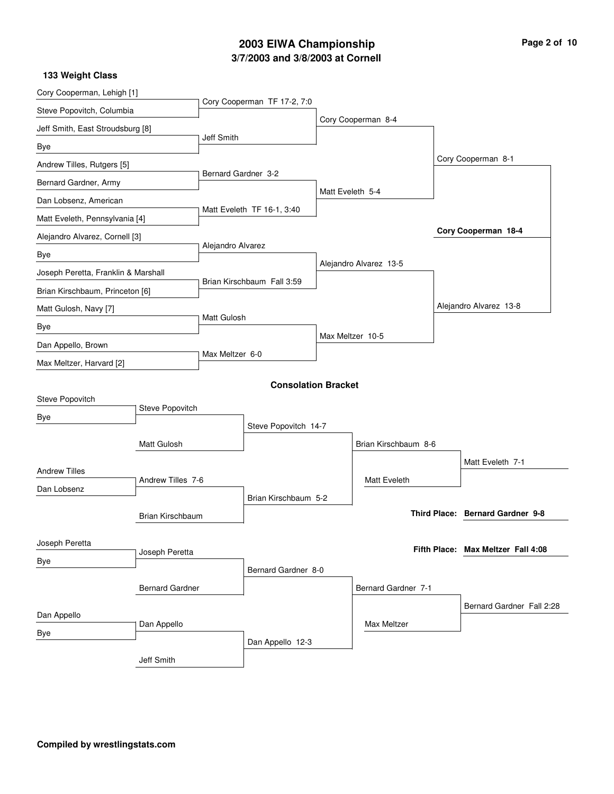## **3/7/2003 and 3/8/2003 at Cornell 2003 EIWA Championship Page 2 of 10**

Cory Cooperman, Lehigh [1] Steve Popovitch, Columbia Jeff Smith, East Stroudsburg [8] Bye Andrew Tilles, Rutgers [5] Bernard Gardner, Army Dan Lobsenz, American Matt Eveleth, Pennsylvania [4] Alejandro Alvarez, Cornell [3] Bye Joseph Peretta, Franklin & Marshall Brian Kirschbaum, Princeton [6] Matt Gulosh, Navy [7] Bye Dan Appello, Brown Max Meltzer, Harvard [2] Cory Cooperman TF 17-2, 7:0 Jeff Smith Bernard Gardner 3-2 Matt Eveleth TF 16-1, 3:40 Alejandro Alvarez Brian Kirschbaum Fall 3:59 Matt Gulosh Max Meltzer 6-0 Cory Cooperman 8-4 Matt Eveleth 5-4 Alejandro Alvarez 13-5 Max Meltzer 10-5 Cory Cooperman 8-1 Alejandro Alvarez 13-8 **Cory Cooperman 18-4 133 Weight Class Consolation Bracket** Steve Popovitch Bye Andrew Tilles Dan Lobsenz Matt Gulosh Joseph Peretta Bye Brian Kirschbaum Bernard Gardner Dan Appello Bye Jeff Smith Steve Popovitch Andrew Tilles 7-6 Joseph Peretta Dan Appello Steve Popovitch 14-7 Brian Kirschbaum 5-2 Bernard Gardner 8-0 Dan Appello 12-3 Brian Kirschbaum 8-6 Bernard Gardner 7-1 Matt Eveleth Max Meltzer Matt Eveleth 7-1 Bernard Gardner Fall 2:28 **Bernard Gardner 9-8 Third Place: Max Meltzer Fall 4:08 Fifth Place:**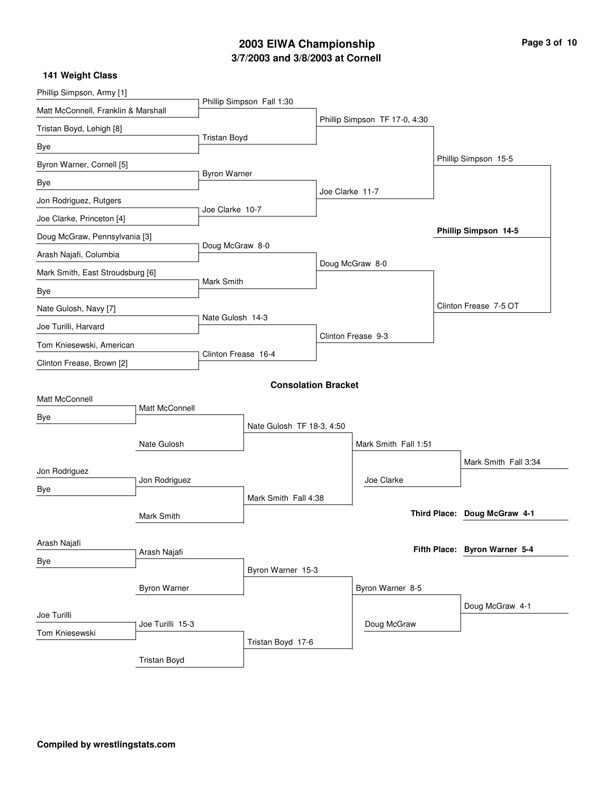# **3/7/2003 and 3/8/2003 at Cornell 2003 EIWA Championship Page 3 of 10**

| Phillip Simpson, Army [1]           |                     |                     |                            |                 |                               |  |                               |
|-------------------------------------|---------------------|---------------------|----------------------------|-----------------|-------------------------------|--|-------------------------------|
| Matt McConnell, Franklin & Marshall |                     |                     | Phillip Simpson Fall 1:30  |                 |                               |  |                               |
| Tristan Boyd, Lehigh [8]            |                     |                     |                            |                 | Phillip Simpson TF 17-0, 4:30 |  |                               |
| Bye                                 |                     | <b>Tristan Boyd</b> |                            |                 |                               |  |                               |
| Byron Warner, Cornell [5]           |                     |                     |                            |                 |                               |  | Phillip Simpson 15-5          |
| Bye                                 |                     | Byron Warner        |                            |                 |                               |  |                               |
| Jon Rodriguez, Rutgers              |                     | Joe Clarke 10-7     |                            | Joe Clarke 11-7 |                               |  |                               |
| Joe Clarke, Princeton [4]           |                     |                     |                            |                 |                               |  |                               |
| Doug McGraw, Pennsylvania [3]       |                     |                     |                            |                 |                               |  | Phillip Simpson 14-5          |
| Arash Najafi, Columbia              |                     | Doug McGraw 8-0     |                            |                 |                               |  |                               |
| Mark Smith, East Stroudsburg [6]    |                     |                     |                            |                 | Doug McGraw 8-0               |  |                               |
| Bye                                 |                     | Mark Smith          |                            |                 |                               |  |                               |
| Nate Gulosh, Navy [7]               |                     |                     |                            |                 |                               |  | Clinton Frease 7-5 OT         |
| Joe Turilli, Harvard                |                     | Nate Gulosh 14-3    |                            |                 |                               |  |                               |
| Tom Kniesewski, American            |                     | Clinton Frease 16-4 |                            |                 | Clinton Frease 9-3            |  |                               |
| Clinton Frease, Brown [2]           |                     |                     |                            |                 |                               |  |                               |
|                                     |                     |                     | <b>Consolation Bracket</b> |                 |                               |  |                               |
| Matt McConnell                      |                     |                     |                            |                 |                               |  |                               |
| Bye                                 | Matt McConnell      |                     |                            |                 |                               |  |                               |
|                                     |                     |                     | Nate Gulosh TF 18-3, 4:50  |                 |                               |  |                               |
|                                     | Nate Gulosh         |                     |                            |                 | Mark Smith Fall 1:51          |  |                               |
| Jon Rodriguez                       |                     |                     |                            |                 |                               |  | Mark Smith Fall 3:34          |
| Bye                                 | Jon Rodriguez       |                     |                            |                 | Joe Clarke                    |  |                               |
|                                     |                     |                     | Mark Smith Fall 4:38       |                 |                               |  | Third Place: Doug McGraw 4-1  |
|                                     | Mark Smith          |                     |                            |                 |                               |  |                               |
| Arash Najafi                        |                     |                     |                            |                 |                               |  | Fifth Place: Byron Warner 5-4 |
| Bye                                 | Arash Najafi        |                     |                            |                 |                               |  |                               |
|                                     |                     |                     | Byron Warner 15-3          |                 |                               |  |                               |
|                                     | <b>Byron Warner</b> |                     |                            |                 | Byron Warner 8-5              |  |                               |
| Joe Turilli                         |                     |                     |                            |                 |                               |  | Doug McGraw 4-1               |
| Tom Kniesewski                      | Joe Turilli 15-3    |                     |                            |                 | Doug McGraw                   |  |                               |
|                                     |                     |                     | Tristan Boyd 17-6          |                 |                               |  |                               |
|                                     | <b>Tristan Boyd</b> |                     |                            |                 |                               |  |                               |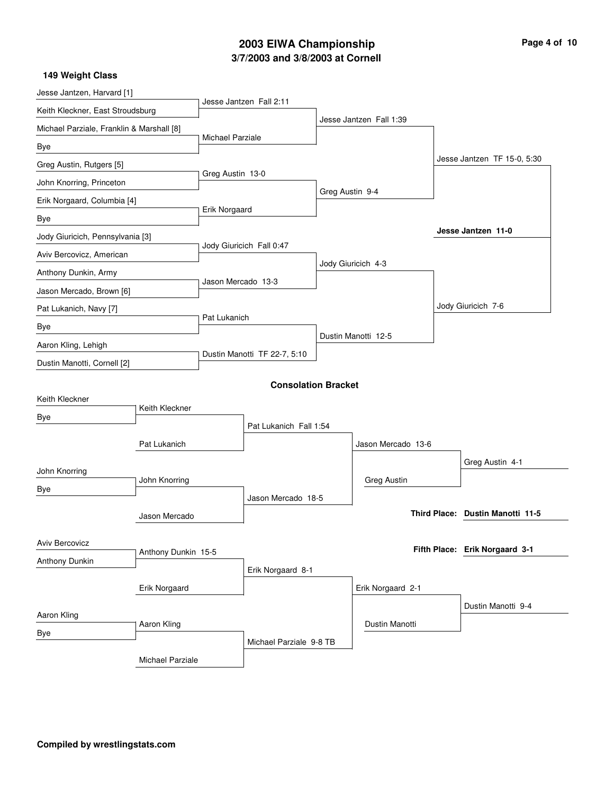# **3/7/2003 and 3/8/2003 at Cornell 2003 EIWA Championship Page 4 of 10**

| Jesse Jantzen, Harvard [1]                |                     |                         |                              |                 |                         |  |                                  |
|-------------------------------------------|---------------------|-------------------------|------------------------------|-----------------|-------------------------|--|----------------------------------|
| Keith Kleckner, East Stroudsburg          |                     |                         | Jesse Jantzen Fall 2:11      |                 |                         |  |                                  |
| Michael Parziale, Franklin & Marshall [8] |                     |                         |                              |                 | Jesse Jantzen Fall 1:39 |  |                                  |
| Bye                                       |                     | <b>Michael Parziale</b> |                              |                 |                         |  |                                  |
| Greg Austin, Rutgers [5]                  |                     |                         |                              |                 |                         |  | Jesse Jantzen TF 15-0, 5:30      |
| John Knorring, Princeton                  |                     | Greg Austin 13-0        |                              |                 |                         |  |                                  |
| Erik Norgaard, Columbia [4]               |                     |                         |                              | Greg Austin 9-4 |                         |  |                                  |
| Bye                                       |                     | Erik Norgaard           |                              |                 |                         |  |                                  |
| Jody Giuricich, Pennsylvania [3]          |                     |                         |                              |                 |                         |  | Jesse Jantzen 11-0               |
| Aviv Bercovicz, American                  |                     |                         | Jody Giuricich Fall 0:47     |                 |                         |  |                                  |
| Anthony Dunkin, Army                      |                     |                         |                              |                 | Jody Giuricich 4-3      |  |                                  |
| Jason Mercado, Brown [6]                  |                     | Jason Mercado 13-3      |                              |                 |                         |  |                                  |
| Pat Lukanich, Navy [7]                    |                     |                         |                              |                 |                         |  | Jody Giuricich 7-6               |
| Bye                                       |                     | Pat Lukanich            |                              |                 |                         |  |                                  |
| Aaron Kling, Lehigh                       |                     |                         |                              |                 | Dustin Manotti 12-5     |  |                                  |
| Dustin Manotti, Cornell [2]               |                     |                         | Dustin Manotti TF 22-7, 5:10 |                 |                         |  |                                  |
|                                           |                     |                         | <b>Consolation Bracket</b>   |                 |                         |  |                                  |
| Keith Kleckner                            |                     |                         |                              |                 |                         |  |                                  |
| Bye                                       | Keith Kleckner      |                         |                              |                 |                         |  |                                  |
|                                           |                     |                         | Pat Lukanich Fall 1:54       |                 |                         |  |                                  |
|                                           | Pat Lukanich        |                         |                              |                 | Jason Mercado 13-6      |  |                                  |
| John Knorring                             |                     |                         |                              |                 |                         |  | Greg Austin 4-1                  |
| Bye                                       | John Knorring       |                         |                              |                 | <b>Greg Austin</b>      |  |                                  |
|                                           |                     |                         | Jason Mercado 18-5           |                 |                         |  | Third Place: Dustin Manotti 11-5 |
|                                           | Jason Mercado       |                         |                              |                 |                         |  |                                  |
| Aviv Bercovicz                            |                     |                         |                              |                 |                         |  | Fifth Place: Erik Norgaard 3-1   |
| Anthony Dunkin                            | Anthony Dunkin 15-5 |                         |                              |                 |                         |  |                                  |
|                                           |                     |                         | Erik Norgaard 8-1            |                 |                         |  |                                  |
|                                           | Erik Norgaard       |                         |                              |                 | Erik Norgaard 2-1       |  |                                  |
| Aaron Kling                               |                     |                         |                              |                 |                         |  | Dustin Manotti 9-4               |
| Bye                                       | Aaron Kling         |                         |                              |                 | Dustin Manotti          |  |                                  |
|                                           |                     |                         | Michael Parziale 9-8 TB      |                 |                         |  |                                  |
|                                           | Michael Parziale    |                         |                              |                 |                         |  |                                  |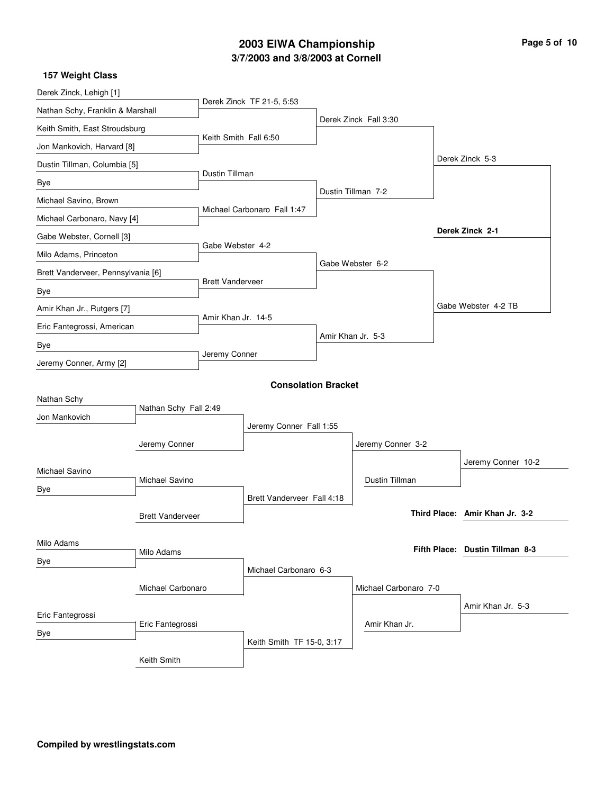# **3/7/2003 and 3/8/2003 at Cornell 2003 EIWA Championship Page 5 of 10**

| Derek Zinck, Lehigh [1]            |                         |                             |                            |  |                       |  |                                 |
|------------------------------------|-------------------------|-----------------------------|----------------------------|--|-----------------------|--|---------------------------------|
| Nathan Schy, Franklin & Marshall   |                         |                             | Derek Zinck TF 21-5, 5:53  |  |                       |  |                                 |
| Keith Smith, East Stroudsburg      |                         |                             |                            |  | Derek Zinck Fall 3:30 |  |                                 |
| Jon Mankovich, Harvard [8]         |                         | Keith Smith Fall 6:50       |                            |  |                       |  |                                 |
| Dustin Tillman, Columbia [5]       |                         |                             |                            |  |                       |  | Derek Zinck 5-3                 |
| Bye                                |                         | Dustin Tillman              |                            |  |                       |  |                                 |
| Michael Savino, Brown              |                         |                             |                            |  | Dustin Tillman 7-2    |  |                                 |
| Michael Carbonaro, Navy [4]        |                         | Michael Carbonaro Fall 1:47 |                            |  |                       |  |                                 |
| Gabe Webster, Cornell [3]          |                         |                             |                            |  |                       |  | Derek Zinck 2-1                 |
| Milo Adams, Princeton              |                         | Gabe Webster 4-2            |                            |  |                       |  |                                 |
| Brett Vanderveer, Pennsylvania [6] |                         |                             |                            |  | Gabe Webster 6-2      |  |                                 |
| Bye                                |                         | <b>Brett Vanderveer</b>     |                            |  |                       |  |                                 |
| Amir Khan Jr., Rutgers [7]         |                         |                             |                            |  |                       |  | Gabe Webster 4-2 TB             |
| Eric Fantegrossi, American         |                         | Amir Khan Jr. 14-5          |                            |  |                       |  |                                 |
| Bye                                |                         |                             |                            |  | Amir Khan Jr. 5-3     |  |                                 |
| Jeremy Conner, Army [2]            |                         | Jeremy Conner               |                            |  |                       |  |                                 |
|                                    |                         |                             | <b>Consolation Bracket</b> |  |                       |  |                                 |
| Nathan Schy                        |                         |                             |                            |  |                       |  |                                 |
| Jon Mankovich                      | Nathan Schy Fall 2:49   |                             |                            |  |                       |  |                                 |
|                                    |                         | Jeremy Conner Fall 1:55     |                            |  |                       |  |                                 |
|                                    | Jeremy Conner           |                             |                            |  | Jeremy Conner 3-2     |  |                                 |
| Michael Savino                     |                         |                             |                            |  |                       |  | Jeremy Conner 10-2              |
| Bye                                | Michael Savino          |                             |                            |  | Dustin Tillman        |  |                                 |
|                                    |                         |                             | Brett Vanderveer Fall 4:18 |  |                       |  | Third Place: Amir Khan Jr. 3-2  |
|                                    | <b>Brett Vanderveer</b> |                             |                            |  |                       |  |                                 |
| Milo Adams                         |                         |                             |                            |  |                       |  | Fifth Place: Dustin Tillman 8-3 |
| Bye                                | Milo Adams              |                             |                            |  |                       |  |                                 |
|                                    |                         |                             | Michael Carbonaro 6-3      |  |                       |  |                                 |
|                                    | Michael Carbonaro       |                             |                            |  | Michael Carbonaro 7-0 |  |                                 |
| Eric Fantegrossi                   |                         |                             |                            |  | Amir Khan Jr.         |  | Amir Khan Jr. 5-3               |
| Bye                                | Eric Fantegrossi        |                             |                            |  |                       |  |                                 |
|                                    | Keith Smith             |                             | Keith Smith TF 15-0, 3:17  |  |                       |  |                                 |
|                                    |                         |                             |                            |  |                       |  |                                 |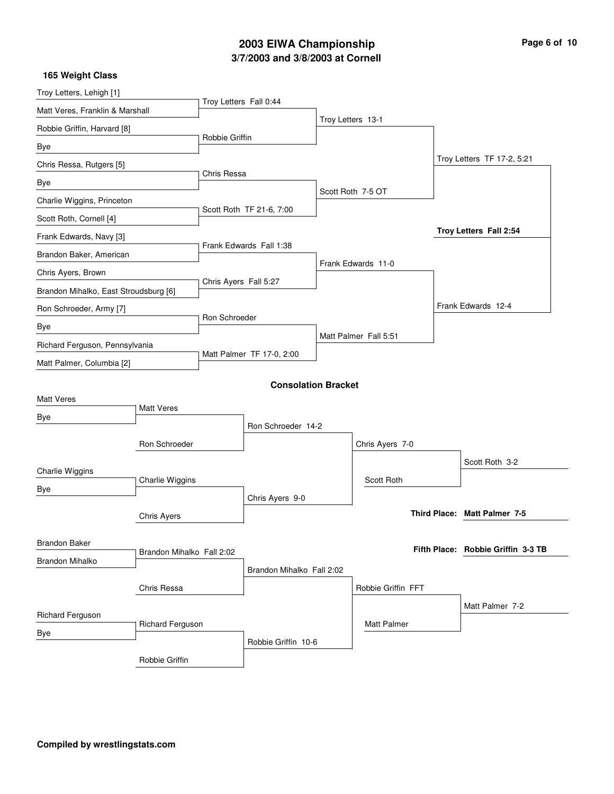# **3/7/2003 and 3/8/2003 at Cornell 2003 EIWA Championship Page 6 of 10**

| Page 6 of 10 |  |  |
|--------------|--|--|
|              |  |  |

| 165 Weight Class                      |                           |                           |                            |                       |                                    |
|---------------------------------------|---------------------------|---------------------------|----------------------------|-----------------------|------------------------------------|
| Troy Letters, Lehigh [1]              |                           |                           |                            |                       |                                    |
| Matt Veres, Franklin & Marshall       |                           | Troy Letters Fall 0:44    |                            |                       |                                    |
| Robbie Griffin, Harvard [8]           |                           |                           |                            | Troy Letters 13-1     |                                    |
| Bye                                   |                           | Robbie Griffin            |                            |                       |                                    |
| Chris Ressa, Rutgers [5]              |                           |                           |                            |                       | Troy Letters TF 17-2, 5:21         |
| Bye                                   |                           | Chris Ressa               |                            |                       |                                    |
| Charlie Wiggins, Princeton            |                           |                           |                            | Scott Roth 7-5 OT     |                                    |
| Scott Roth, Cornell [4]               |                           | Scott Roth TF 21-6, 7:00  |                            |                       |                                    |
| Frank Edwards, Navy [3]               |                           |                           |                            |                       | Troy Letters Fall 2:54             |
| Brandon Baker, American               |                           |                           | Frank Edwards Fall 1:38    |                       |                                    |
| Chris Ayers, Brown                    |                           |                           |                            | Frank Edwards 11-0    |                                    |
| Brandon Mihalko, East Stroudsburg [6] |                           | Chris Ayers Fall 5:27     |                            |                       |                                    |
| Ron Schroeder, Army [7]               |                           |                           |                            |                       | Frank Edwards 12-4                 |
| Bye                                   |                           | Ron Schroeder             |                            |                       |                                    |
| Richard Ferguson, Pennsylvania        |                           |                           |                            | Matt Palmer Fall 5:51 |                                    |
| Matt Palmer, Columbia [2]             |                           | Matt Palmer TF 17-0, 2:00 |                            |                       |                                    |
|                                       |                           |                           | <b>Consolation Bracket</b> |                       |                                    |
| <b>Matt Veres</b>                     |                           |                           |                            |                       |                                    |
| Bye                                   | <b>Matt Veres</b>         |                           |                            |                       |                                    |
|                                       |                           |                           | Ron Schroeder 14-2         |                       |                                    |
|                                       | Ron Schroeder             |                           |                            | Chris Ayers 7-0       |                                    |
| Charlie Wiggins                       |                           |                           |                            |                       | Scott Roth 3-2                     |
| Bye                                   | Charlie Wiggins           |                           |                            | Scott Roth            |                                    |
|                                       |                           |                           | Chris Ayers 9-0            |                       |                                    |
|                                       | Chris Ayers               |                           |                            |                       | Third Place: Matt Palmer 7-5       |
| <b>Brandon Baker</b>                  |                           |                           |                            |                       |                                    |
| <b>Brandon Mihalko</b>                | Brandon Mihalko Fall 2:02 |                           |                            |                       | Fifth Place: Robbie Griffin 3-3 TB |
|                                       |                           |                           | Brandon Mihalko Fall 2:02  |                       |                                    |
|                                       | Chris Ressa               |                           |                            | Robbie Griffin FFT    |                                    |
| Richard Ferguson                      |                           |                           |                            |                       | Matt Palmer 7-2                    |
| Bye                                   | Richard Ferguson          |                           |                            | <b>Matt Palmer</b>    |                                    |
|                                       |                           |                           | Robbie Griffin 10-6        |                       |                                    |
|                                       | Robbie Griffin            |                           |                            |                       |                                    |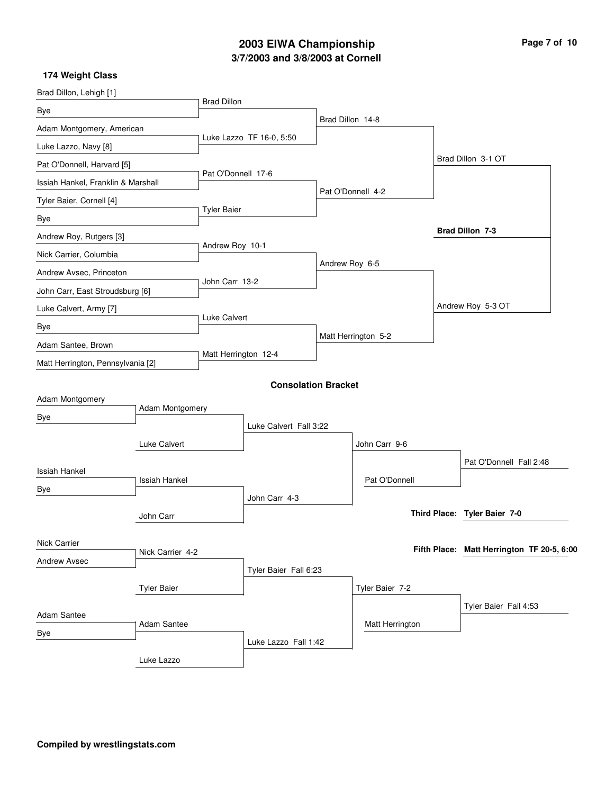# **3/7/2003 and 3/8/2003 at Cornell 2003 EIWA Championship Page 7 of 10**

| Brad Dillon, Lehigh [1]            |                      | <b>Brad Dillon</b>   |                            |                  |                     |                                            |
|------------------------------------|----------------------|----------------------|----------------------------|------------------|---------------------|--------------------------------------------|
| Bye                                |                      |                      |                            |                  |                     |                                            |
| Adam Montgomery, American          |                      |                      |                            | Brad Dillon 14-8 |                     |                                            |
| Luke Lazzo, Navy [8]               |                      |                      | Luke Lazzo TF 16-0, 5:50   |                  |                     |                                            |
| Pat O'Donnell, Harvard [5]         |                      |                      |                            |                  |                     | Brad Dillon 3-1 OT                         |
| Issiah Hankel, Franklin & Marshall |                      | Pat O'Donnell 17-6   |                            |                  |                     |                                            |
| Tyler Baier, Cornell [4]           |                      |                      |                            |                  | Pat O'Donnell 4-2   |                                            |
| Bye                                |                      | <b>Tyler Baier</b>   |                            |                  |                     |                                            |
| Andrew Roy, Rutgers [3]            |                      |                      |                            |                  |                     | Brad Dillon 7-3                            |
| Nick Carrier, Columbia             |                      | Andrew Roy 10-1      |                            |                  |                     |                                            |
| Andrew Avsec, Princeton            |                      | John Carr 13-2       |                            | Andrew Roy 6-5   |                     |                                            |
| John Carr, East Stroudsburg [6]    |                      |                      |                            |                  |                     |                                            |
| Luke Calvert, Army [7]             |                      |                      |                            |                  |                     | Andrew Roy 5-3 OT                          |
| Bye                                |                      | Luke Calvert         |                            |                  |                     |                                            |
| Adam Santee, Brown                 |                      |                      |                            |                  | Matt Herrington 5-2 |                                            |
| Matt Herrington, Pennsylvania [2]  |                      | Matt Herrington 12-4 |                            |                  |                     |                                            |
|                                    |                      |                      | <b>Consolation Bracket</b> |                  |                     |                                            |
| Adam Montgomery                    |                      |                      |                            |                  |                     |                                            |
| Bye                                | Adam Montgomery      |                      |                            |                  |                     |                                            |
|                                    |                      |                      | Luke Calvert Fall 3:22     |                  |                     |                                            |
|                                    | Luke Calvert         |                      |                            |                  | John Carr 9-6       |                                            |
| <b>Issiah Hankel</b>               |                      |                      |                            |                  |                     | Pat O'Donnell Fall 2:48                    |
| Bye                                | <b>Issiah Hankel</b> |                      |                            |                  | Pat O'Donnell       |                                            |
|                                    |                      |                      | John Carr 4-3              |                  |                     | Third Place: Tyler Baier 7-0               |
|                                    | John Carr            |                      |                            |                  |                     |                                            |
| Nick Carrier                       |                      |                      |                            |                  |                     | Fifth Place: Matt Herrington TF 20-5, 6:00 |
| <b>Andrew Avsec</b>                | Nick Carrier 4-2     |                      |                            |                  |                     |                                            |
|                                    |                      |                      | Tyler Baier Fall 6:23      |                  |                     |                                            |
|                                    | <b>Tyler Baier</b>   |                      |                            |                  | Tyler Baier 7-2     |                                            |
| Adam Santee                        |                      |                      |                            |                  |                     | Tyler Baier Fall 4:53                      |
| Bye                                | Adam Santee          |                      |                            |                  | Matt Herrington     |                                            |
|                                    |                      |                      | Luke Lazzo Fall 1:42       |                  |                     |                                            |
|                                    | Luke Lazzo           |                      |                            |                  |                     |                                            |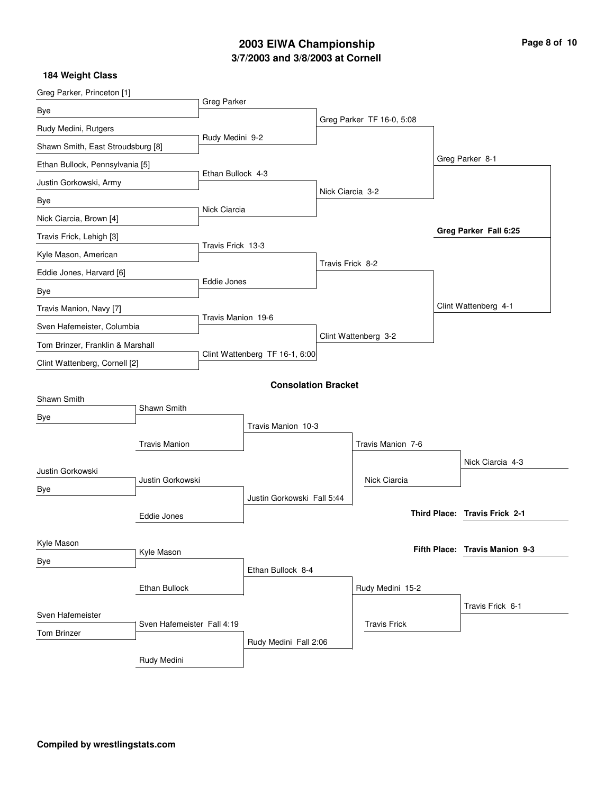# **3/7/2003 and 3/8/2003 at Cornell 2003 EIWA Championship Page 8 of 10**

| Greg Parker, Princeton [1]        |                                                |                   |                                |                  |                           |  |                                |  |
|-----------------------------------|------------------------------------------------|-------------------|--------------------------------|------------------|---------------------------|--|--------------------------------|--|
| Bye                               |                                                | Greg Parker       |                                |                  |                           |  |                                |  |
| Rudy Medini, Rutgers              |                                                |                   |                                |                  | Greg Parker TF 16-0, 5:08 |  |                                |  |
| Shawn Smith, East Stroudsburg [8] |                                                | Rudy Medini 9-2   |                                |                  |                           |  |                                |  |
| Ethan Bullock, Pennsylvania [5]   |                                                |                   |                                |                  |                           |  | Greg Parker 8-1                |  |
| Justin Gorkowski, Army            |                                                | Ethan Bullock 4-3 |                                |                  |                           |  |                                |  |
| Bye                               |                                                |                   |                                | Nick Ciarcia 3-2 |                           |  |                                |  |
| Nick Ciarcia, Brown [4]           |                                                | Nick Ciarcia      |                                |                  |                           |  |                                |  |
| Travis Frick, Lehigh [3]          |                                                |                   |                                |                  |                           |  | Greg Parker Fall 6:25          |  |
| Kyle Mason, American              |                                                | Travis Frick 13-3 |                                |                  |                           |  |                                |  |
| Eddie Jones, Harvard [6]          |                                                |                   |                                | Travis Frick 8-2 |                           |  |                                |  |
| Bye                               |                                                | Eddie Jones       |                                |                  |                           |  |                                |  |
| Travis Manion, Navy [7]           |                                                |                   |                                |                  |                           |  | Clint Wattenberg 4-1           |  |
| Sven Hafemeister, Columbia        |                                                |                   | Travis Manion 19-6             |                  |                           |  |                                |  |
| Tom Brinzer, Franklin & Marshall  |                                                |                   |                                |                  | Clint Wattenberg 3-2      |  |                                |  |
| Clint Wattenberg, Cornell [2]     |                                                |                   | Clint Wattenberg TF 16-1, 6:00 |                  |                           |  |                                |  |
|                                   |                                                |                   | <b>Consolation Bracket</b>     |                  |                           |  |                                |  |
| Shawn Smith                       |                                                |                   |                                |                  |                           |  |                                |  |
| Bye                               | Shawn Smith                                    |                   |                                |                  |                           |  |                                |  |
|                                   |                                                |                   | Travis Manion 10-3             |                  |                           |  |                                |  |
|                                   | <b>Travis Manion</b>                           |                   |                                |                  | Travis Manion 7-6         |  |                                |  |
| Justin Gorkowski                  |                                                |                   |                                |                  |                           |  | Nick Ciarcia 4-3               |  |
| Bye                               | Justin Gorkowski                               |                   |                                |                  | Nick Ciarcia              |  |                                |  |
|                                   |                                                |                   | Justin Gorkowski Fall 5:44     |                  |                           |  |                                |  |
|                                   | Eddie Jones                                    |                   |                                |                  |                           |  | Third Place: Travis Frick 2-1  |  |
| Kyle Mason                        |                                                |                   |                                |                  |                           |  |                                |  |
|                                   | Kyle Mason                                     |                   |                                |                  |                           |  | Fifth Place: Travis Manion 9-3 |  |
| Bye                               |                                                |                   | Ethan Bullock 8-4              |                  |                           |  |                                |  |
|                                   | Ethan Bullock                                  |                   |                                |                  | Rudy Medini 15-2          |  |                                |  |
|                                   |                                                |                   |                                |                  |                           |  | Travis Frick 6-1               |  |
|                                   | Sven Hafemeister<br>Sven Hafemeister Fall 4:19 |                   |                                |                  | <b>Travis Frick</b>       |  |                                |  |
| <b>Tom Brinzer</b>                |                                                |                   | Rudy Medini Fall 2:06          |                  |                           |  |                                |  |
|                                   | Rudy Medini                                    |                   |                                |                  |                           |  |                                |  |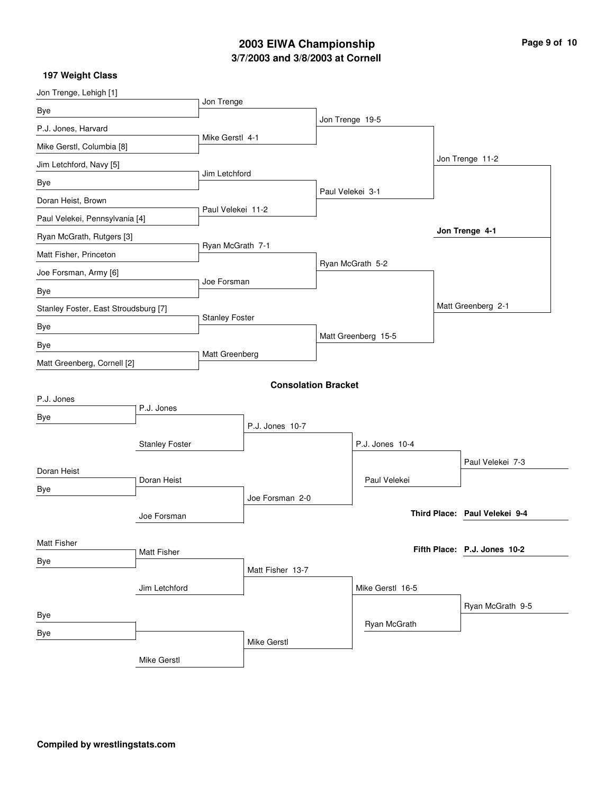# **3/7/2003 and 3/8/2003 at Cornell 2003 EIWA Championship Page 9 of 10**

| Jon Trenge, Lehigh [1]               |                       |                       |                            |                  |                     |                               |
|--------------------------------------|-----------------------|-----------------------|----------------------------|------------------|---------------------|-------------------------------|
| Bye                                  |                       | Jon Trenge            |                            |                  |                     |                               |
| P.J. Jones, Harvard                  |                       |                       |                            | Jon Trenge 19-5  |                     |                               |
| Mike Gerstl, Columbia [8]            |                       | Mike Gerstl 4-1       |                            |                  |                     |                               |
| Jim Letchford, Navy [5]              |                       |                       |                            |                  |                     | Jon Trenge 11-2               |
| Bye                                  |                       | Jim Letchford         |                            |                  |                     |                               |
| Doran Heist, Brown                   |                       |                       |                            | Paul Velekei 3-1 |                     |                               |
| Paul Velekei, Pennsylvania [4]       |                       | Paul Velekei 11-2     |                            |                  |                     |                               |
| Ryan McGrath, Rutgers [3]            |                       |                       |                            |                  |                     | Jon Trenge 4-1                |
| Matt Fisher, Princeton               |                       | Ryan McGrath 7-1      |                            |                  |                     |                               |
| Joe Forsman, Army [6]                |                       |                       |                            |                  | Ryan McGrath 5-2    |                               |
| Bye                                  |                       | Joe Forsman           |                            |                  |                     |                               |
| Stanley Foster, East Stroudsburg [7] |                       |                       |                            |                  |                     | Matt Greenberg 2-1            |
| Bye                                  |                       | <b>Stanley Foster</b> |                            |                  |                     |                               |
| Bye                                  |                       |                       |                            |                  | Matt Greenberg 15-5 |                               |
| Matt Greenberg, Cornell [2]          |                       | Matt Greenberg        |                            |                  |                     |                               |
|                                      |                       |                       | <b>Consolation Bracket</b> |                  |                     |                               |
| P.J. Jones                           |                       |                       |                            |                  |                     |                               |
| Bye                                  | P.J. Jones            |                       |                            |                  |                     |                               |
|                                      |                       |                       | P.J. Jones 10-7            |                  |                     |                               |
|                                      | <b>Stanley Foster</b> |                       |                            |                  | P.J. Jones 10-4     |                               |
| Doran Heist                          |                       |                       |                            |                  |                     | Paul Velekei 7-3              |
| Bye                                  | Doran Heist           |                       |                            |                  | Paul Velekei        |                               |
|                                      |                       |                       | Joe Forsman 2-0            |                  |                     |                               |
|                                      | Joe Forsman           |                       |                            |                  |                     | Third Place: Paul Velekei 9-4 |
| Matt Fisher                          |                       |                       |                            |                  |                     |                               |
| Bye                                  | <b>Matt Fisher</b>    |                       |                            |                  |                     | Fifth Place: P.J. Jones 10-2  |
|                                      |                       |                       | Matt Fisher 13-7           |                  |                     |                               |
|                                      | Jim Letchford         |                       |                            |                  | Mike Gerstl 16-5    |                               |
| Bye                                  |                       |                       |                            |                  |                     | Ryan McGrath 9-5              |
| Bye                                  |                       |                       |                            |                  | Ryan McGrath        |                               |
|                                      |                       |                       | Mike Gerstl                |                  |                     |                               |
|                                      | Mike Gerstl           |                       |                            |                  |                     |                               |